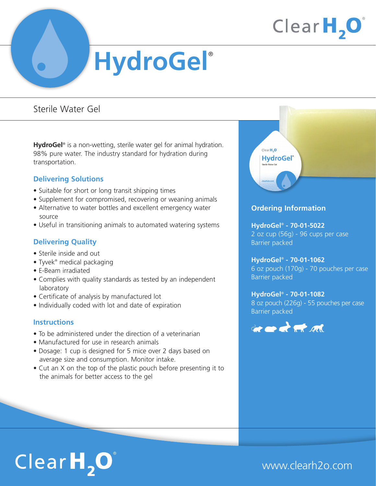# Clear $H, O$

# **HydroGel**®

### Sterile Water Gel

**HydroGel**® is a non-wetting, sterile water gel for animal hydration. 98% pure water. The industry standard for hydration during transportation.

#### **Delivering Solutions**

- Suitable for short or long transit shipping times
- Supplement for compromised, recovering or weaning animals
- Alternative to water bottles and excellent emergency water source
- Useful in transitioning animals to automated watering systems

#### **Delivering Quality**

- Sterile inside and out
- Tyvek<sup>®</sup> medical packaging
- E-Beam irradiated
- Complies with quality standards as tested by an independent laboratory
- Certificate of analysis by manufactured lot
- Individually coded with lot and date of expiration

#### **Instructions**

- To be administered under the direction of a veterinarian
- Manufactured for use in research animals
- Dosage: 1 cup is designed for 5 mice over 2 days based on average size and consumption. Monitor intake.
- Cut an X on the top of the plastic pouch before presenting it to the animals for better access to the gel

# Clear<sub>H<sub>2</sub>O<sup>'</sup></sub> **HydroGel**\*

#### **Ordering Information**

**HydroGel**® **- 70-01-5022** 2 oz cup (56g) - 96 cups per case Barrier packed

### **HydroGel**® **- 70-01-1062**

6 oz pouch (170g) - 70 pouches per case Barrier packed

#### **HydroGel**® **- 70-01-1082**

8 oz pouch (226g) - 55 pouches per case Barrier packed



# $ClearH, O^*$

www.clearh2o.com